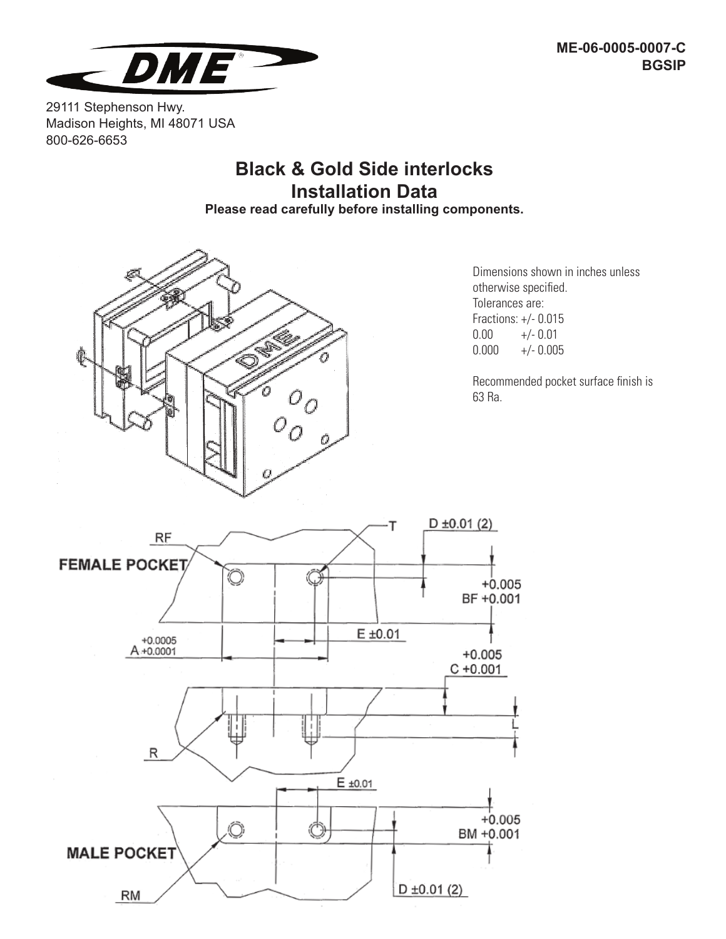

29111 Stephenson Hwy. Madison Heights, MI 48071 USA 800-626-6653

## **Black & Gold Side interlocks Installation Data**

**Please read carefully before installing components.**



Dimensions shown in inches unless otherwise specified. Tolerances are: Fractions: +/- 0.015  $0.00 +/- 0.01$  $0.000 +/- 0.005$ 

Recommended pocket surface finish is 63 Ra.